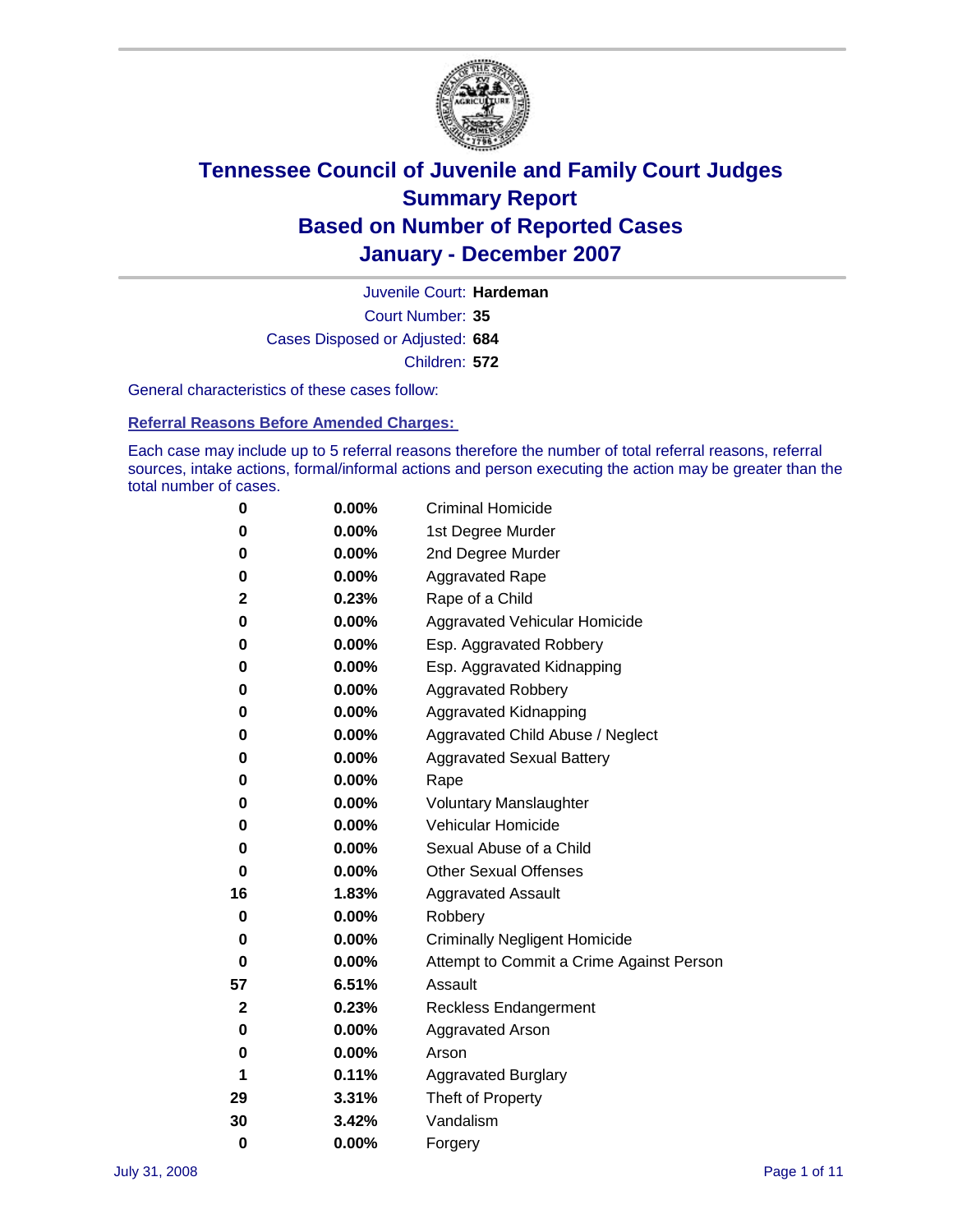

Court Number: **35** Juvenile Court: **Hardeman** Cases Disposed or Adjusted: **684** Children: **572**

General characteristics of these cases follow:

**Referral Reasons Before Amended Charges:** 

Each case may include up to 5 referral reasons therefore the number of total referral reasons, referral sources, intake actions, formal/informal actions and person executing the action may be greater than the total number of cases.

| 0        | $0.00\%$ | <b>Criminal Homicide</b>                 |  |  |
|----------|----------|------------------------------------------|--|--|
| 0        | 0.00%    | 1st Degree Murder                        |  |  |
| 0        | $0.00\%$ | 2nd Degree Murder                        |  |  |
| 0        | 0.00%    | <b>Aggravated Rape</b>                   |  |  |
| 2        | 0.23%    | Rape of a Child                          |  |  |
| 0        | $0.00\%$ | Aggravated Vehicular Homicide            |  |  |
| 0        | 0.00%    | Esp. Aggravated Robbery                  |  |  |
| 0        | 0.00%    | Esp. Aggravated Kidnapping               |  |  |
| 0        | 0.00%    | <b>Aggravated Robbery</b>                |  |  |
| 0        | 0.00%    | Aggravated Kidnapping                    |  |  |
| 0        | $0.00\%$ | Aggravated Child Abuse / Neglect         |  |  |
| 0        | 0.00%    | <b>Aggravated Sexual Battery</b>         |  |  |
| 0        | 0.00%    | Rape                                     |  |  |
| 0        | 0.00%    | <b>Voluntary Manslaughter</b>            |  |  |
| 0        | 0.00%    | Vehicular Homicide                       |  |  |
| 0        | $0.00\%$ | Sexual Abuse of a Child                  |  |  |
| 0        | 0.00%    | <b>Other Sexual Offenses</b>             |  |  |
| 16       | 1.83%    | <b>Aggravated Assault</b>                |  |  |
| 0        | 0.00%    | Robbery                                  |  |  |
| 0        | 0.00%    | <b>Criminally Negligent Homicide</b>     |  |  |
| 0        | 0.00%    | Attempt to Commit a Crime Against Person |  |  |
| 57       | 6.51%    | Assault                                  |  |  |
| 2        | 0.23%    | <b>Reckless Endangerment</b>             |  |  |
| 0        | 0.00%    | <b>Aggravated Arson</b>                  |  |  |
| 0        | 0.00%    | Arson                                    |  |  |
| 1        | 0.11%    | <b>Aggravated Burglary</b>               |  |  |
| 29       | 3.31%    | Theft of Property                        |  |  |
| 30       | 3.42%    | Vandalism                                |  |  |
| $\bf{0}$ | 0.00%    | Forgery                                  |  |  |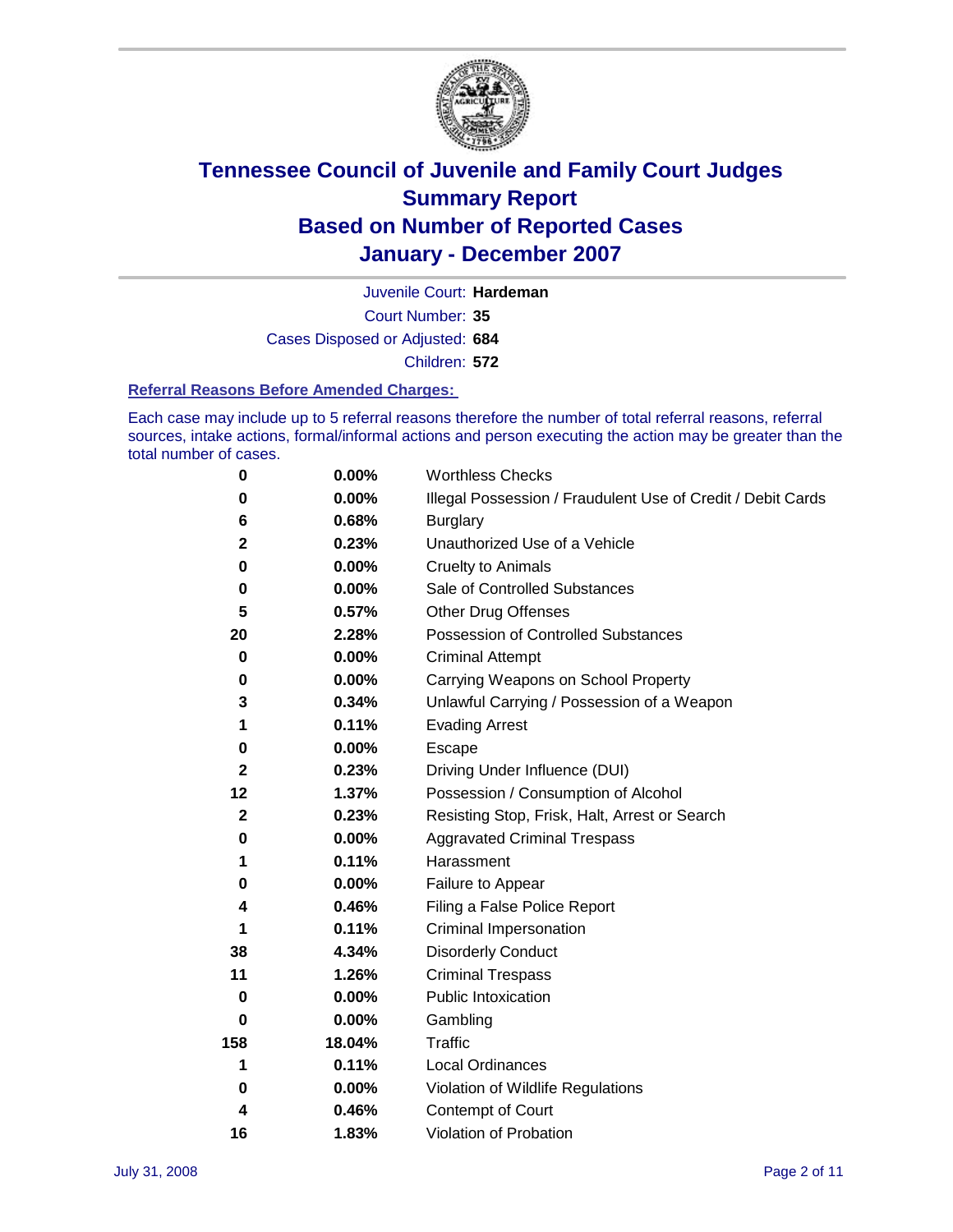

Court Number: **35** Juvenile Court: **Hardeman** Cases Disposed or Adjusted: **684** Children: **572**

#### **Referral Reasons Before Amended Charges:**

Each case may include up to 5 referral reasons therefore the number of total referral reasons, referral sources, intake actions, formal/informal actions and person executing the action may be greater than the total number of cases.

| 0            | 0.00%    | <b>Worthless Checks</b>                                     |
|--------------|----------|-------------------------------------------------------------|
| 0            | 0.00%    | Illegal Possession / Fraudulent Use of Credit / Debit Cards |
| 6            | 0.68%    | <b>Burglary</b>                                             |
| $\mathbf 2$  | 0.23%    | Unauthorized Use of a Vehicle                               |
| $\bf{0}$     | 0.00%    | <b>Cruelty to Animals</b>                                   |
| 0            | $0.00\%$ | Sale of Controlled Substances                               |
| 5            | 0.57%    | <b>Other Drug Offenses</b>                                  |
| 20           | 2.28%    | Possession of Controlled Substances                         |
| $\mathbf 0$  | 0.00%    | <b>Criminal Attempt</b>                                     |
| 0            | 0.00%    | Carrying Weapons on School Property                         |
| 3            | 0.34%    | Unlawful Carrying / Possession of a Weapon                  |
| 1            | 0.11%    | <b>Evading Arrest</b>                                       |
| 0            | 0.00%    | Escape                                                      |
| $\mathbf{2}$ | 0.23%    | Driving Under Influence (DUI)                               |
| 12           | 1.37%    | Possession / Consumption of Alcohol                         |
| $\mathbf{2}$ | 0.23%    | Resisting Stop, Frisk, Halt, Arrest or Search               |
| 0            | $0.00\%$ | <b>Aggravated Criminal Trespass</b>                         |
| 1            | 0.11%    | Harassment                                                  |
| 0            | 0.00%    | Failure to Appear                                           |
| 4            | 0.46%    | Filing a False Police Report                                |
|              | 0.11%    | Criminal Impersonation                                      |
| 38           | 4.34%    | <b>Disorderly Conduct</b>                                   |
| 11           | 1.26%    | <b>Criminal Trespass</b>                                    |
| 0            | 0.00%    | <b>Public Intoxication</b>                                  |
| 0            | 0.00%    | Gambling                                                    |
| 158          | 18.04%   | Traffic                                                     |
| 1            | 0.11%    | <b>Local Ordinances</b>                                     |
| 0            | $0.00\%$ | Violation of Wildlife Regulations                           |
| 4            | 0.46%    | Contempt of Court                                           |
| 16           | 1.83%    | Violation of Probation                                      |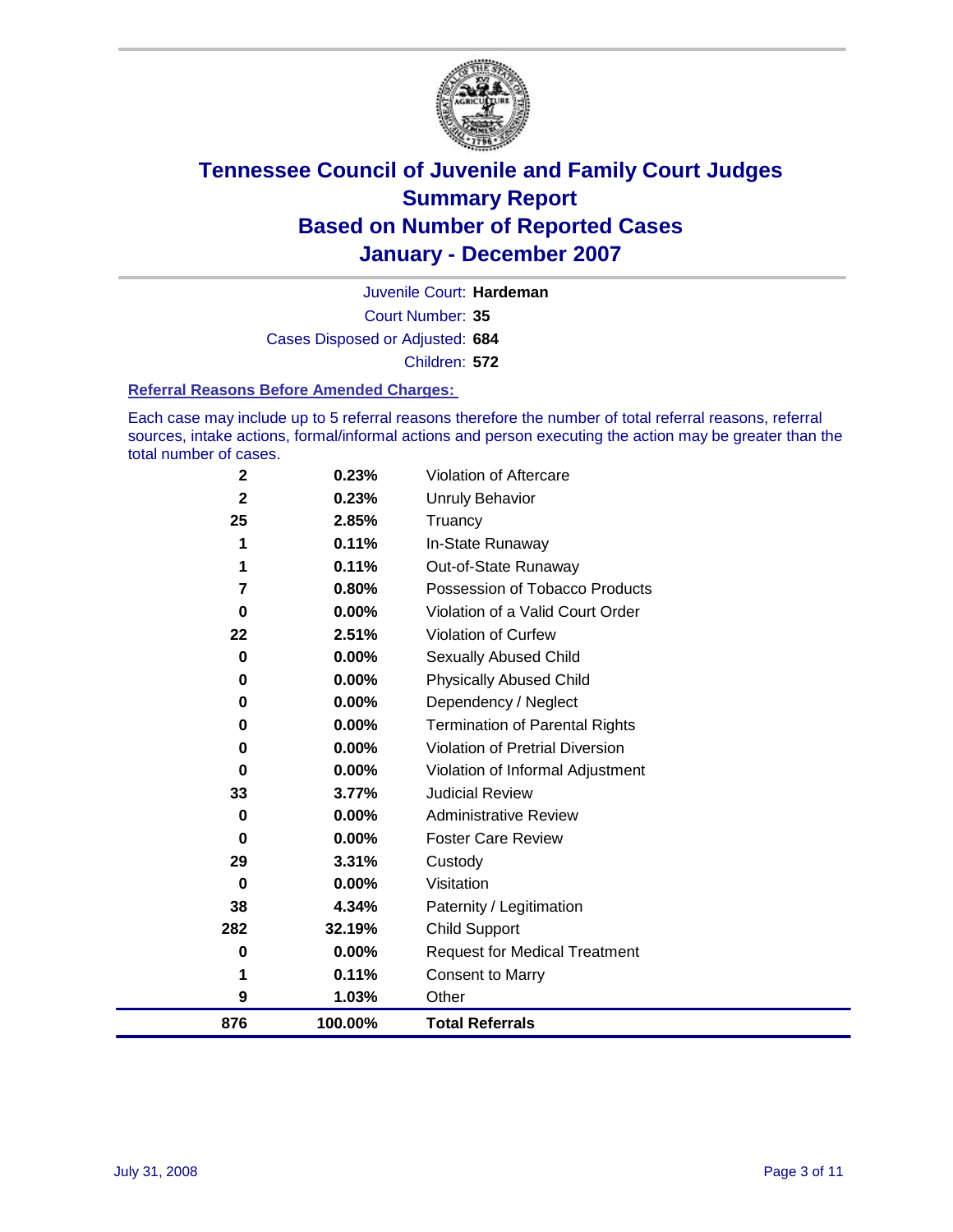

Court Number: **35** Juvenile Court: **Hardeman** Cases Disposed or Adjusted: **684** Children: **572**

#### **Referral Reasons Before Amended Charges:**

Each case may include up to 5 referral reasons therefore the number of total referral reasons, referral sources, intake actions, formal/informal actions and person executing the action may be greater than the total number of cases.

| 876            | 100.00%  | <b>Total Referrals</b>                 |
|----------------|----------|----------------------------------------|
| 9              | 1.03%    | Other                                  |
| 1              | 0.11%    | <b>Consent to Marry</b>                |
| 0              | 0.00%    | <b>Request for Medical Treatment</b>   |
| 282            | 32.19%   | <b>Child Support</b>                   |
| 38             | 4.34%    | Paternity / Legitimation               |
| 0              | 0.00%    | Visitation                             |
| 29             | 3.31%    | Custody                                |
| 0              | 0.00%    | <b>Foster Care Review</b>              |
| 0              | $0.00\%$ | <b>Administrative Review</b>           |
| 33             | 3.77%    | <b>Judicial Review</b>                 |
| 0              | 0.00%    | Violation of Informal Adjustment       |
| 0              | $0.00\%$ | <b>Violation of Pretrial Diversion</b> |
| 0              | $0.00\%$ | <b>Termination of Parental Rights</b>  |
| 0              | 0.00%    | Dependency / Neglect                   |
| 0              | $0.00\%$ | <b>Physically Abused Child</b>         |
| 0              | 0.00%    | <b>Sexually Abused Child</b>           |
| 22             | 2.51%    | Violation of Curfew                    |
| 0              | $0.00\%$ | Violation of a Valid Court Order       |
| $\overline{7}$ | 0.80%    | Possession of Tobacco Products         |
| 1              | 0.11%    | Out-of-State Runaway                   |
| 1              | 0.11%    | In-State Runaway                       |
| 25             | 2.85%    | Truancy                                |
| $\mathbf{2}$   | 0.23%    | <b>Unruly Behavior</b>                 |
| $\mathbf 2$    | 0.23%    | Violation of Aftercare                 |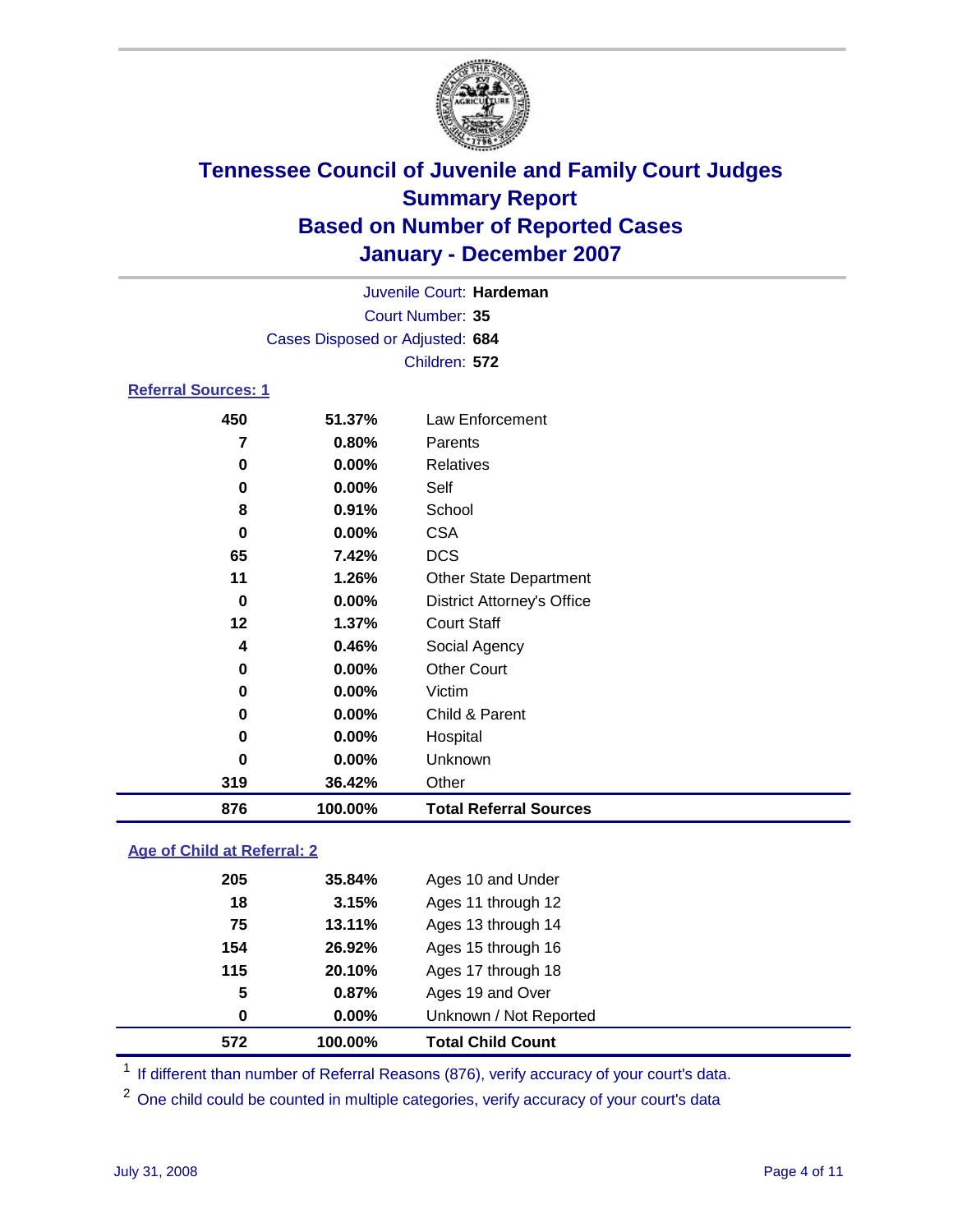

Court Number: **35** Juvenile Court: **Hardeman** Cases Disposed or Adjusted: **684** Children: **572**

### **Referral Sources: 1**

| 876      | 100.00% | <b>Total Referral Sources</b>     |
|----------|---------|-----------------------------------|
| 319      | 36.42%  | Other                             |
| $\bf{0}$ | 0.00%   | Unknown                           |
| $\bf{0}$ | 0.00%   | Hospital                          |
| $\bf{0}$ | 0.00%   | Child & Parent                    |
| 0        | 0.00%   | Victim                            |
| 0        | 0.00%   | <b>Other Court</b>                |
| 4        | 0.46%   | Social Agency                     |
| 12       | 1.37%   | <b>Court Staff</b>                |
| 0        | 0.00%   | <b>District Attorney's Office</b> |
| 11       | 1.26%   | <b>Other State Department</b>     |
| 65       | 7.42%   | <b>DCS</b>                        |
| 0        | 0.00%   | <b>CSA</b>                        |
| 8        | 0.91%   | School                            |
| 0        | 0.00%   | Self                              |
| 0        | 0.00%   | Relatives                         |
| 7        | 0.80%   | Parents                           |
| 450      | 51.37%  | Law Enforcement                   |

### **Age of Child at Referral: 2**

| 572 | 100.00% | <b>Total Child Count</b> |
|-----|---------|--------------------------|
| 0   | 0.00%   | Unknown / Not Reported   |
| 5   | 0.87%   | Ages 19 and Over         |
| 115 | 20.10%  | Ages 17 through 18       |
| 154 | 26.92%  | Ages 15 through 16       |
| 75  | 13.11%  | Ages 13 through 14       |
| 18  | 3.15%   | Ages 11 through 12       |
| 205 | 35.84%  | Ages 10 and Under        |
|     |         |                          |

<sup>1</sup> If different than number of Referral Reasons (876), verify accuracy of your court's data.

<sup>2</sup> One child could be counted in multiple categories, verify accuracy of your court's data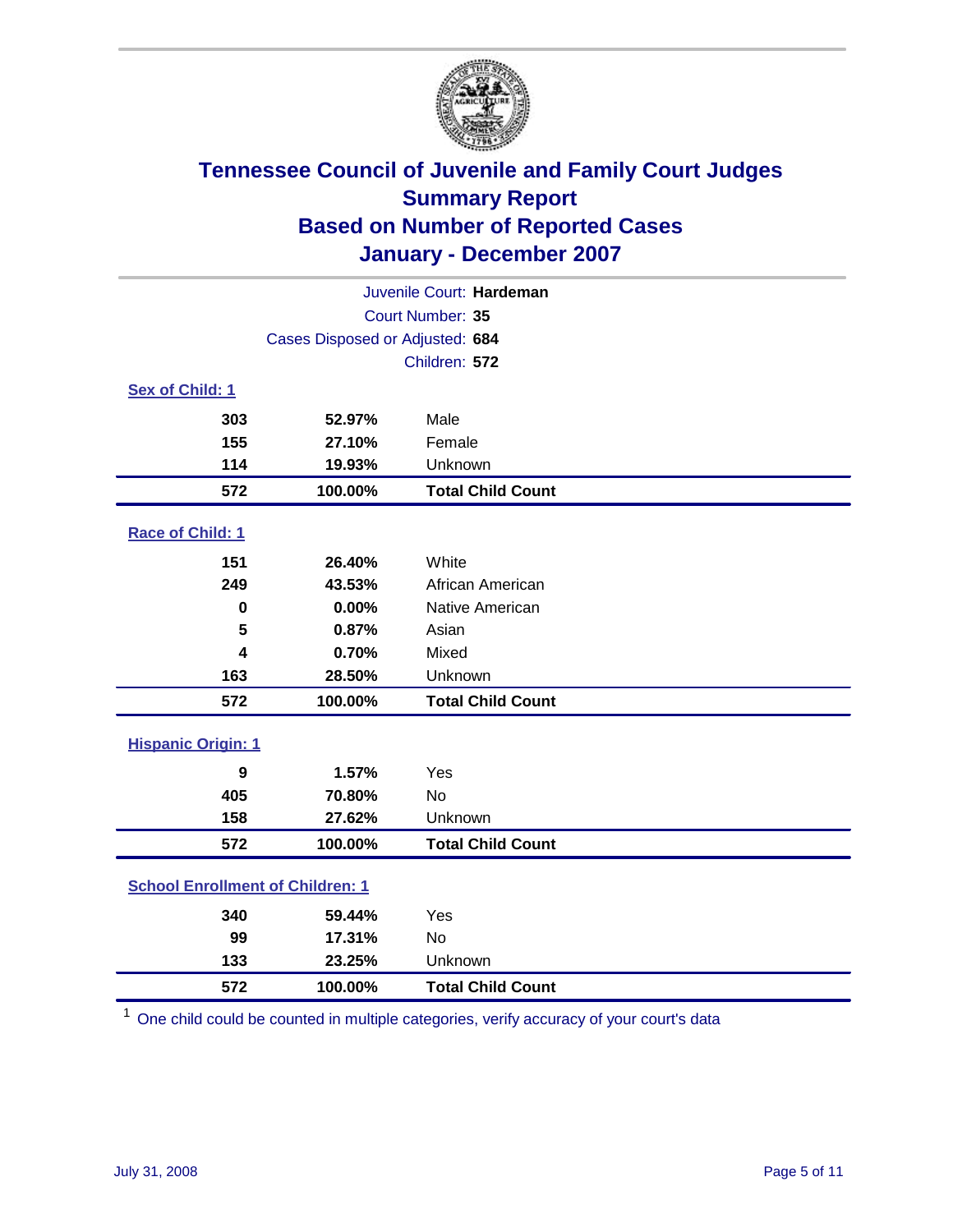

| Juvenile Court: Hardeman                |                                 |                          |  |  |
|-----------------------------------------|---------------------------------|--------------------------|--|--|
| Court Number: 35                        |                                 |                          |  |  |
|                                         | Cases Disposed or Adjusted: 684 |                          |  |  |
|                                         |                                 | Children: 572            |  |  |
| Sex of Child: 1                         |                                 |                          |  |  |
| 303                                     | 52.97%                          | Male                     |  |  |
| 155                                     | 27.10%                          | Female                   |  |  |
| 114                                     | 19.93%                          | Unknown                  |  |  |
| 572                                     | 100.00%                         | <b>Total Child Count</b> |  |  |
| Race of Child: 1                        |                                 |                          |  |  |
| 151                                     | 26.40%                          | White                    |  |  |
| 249                                     | 43.53%                          | African American         |  |  |
| $\bf{0}$                                | 0.00%                           | Native American          |  |  |
| 5                                       | 0.87%                           | Asian                    |  |  |
| 4                                       | 0.70%                           | Mixed                    |  |  |
| 163                                     | 28.50%                          | Unknown                  |  |  |
| 572                                     | 100.00%                         | <b>Total Child Count</b> |  |  |
| <b>Hispanic Origin: 1</b>               |                                 |                          |  |  |
| 9                                       | 1.57%                           | Yes                      |  |  |
| 405                                     | 70.80%                          | <b>No</b>                |  |  |
| 158                                     | 27.62%                          | Unknown                  |  |  |
| 572                                     | 100.00%                         | <b>Total Child Count</b> |  |  |
| <b>School Enrollment of Children: 1</b> |                                 |                          |  |  |
| 340                                     | 59.44%                          | Yes                      |  |  |
| 99                                      | 17.31%                          | No                       |  |  |
| 133                                     | 23.25%                          | Unknown                  |  |  |
| 572                                     | 100.00%                         | <b>Total Child Count</b> |  |  |

One child could be counted in multiple categories, verify accuracy of your court's data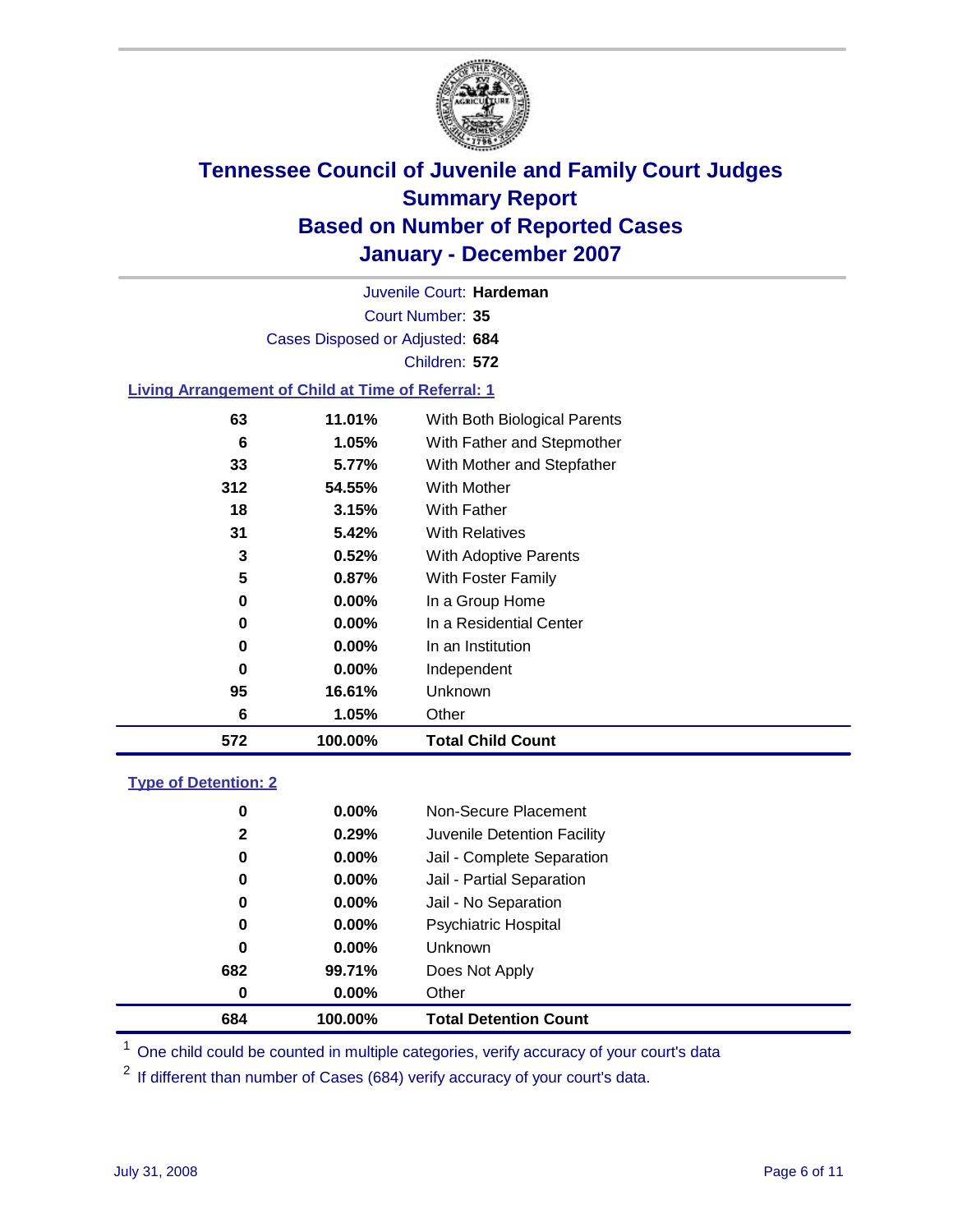

Court Number: **35** Juvenile Court: **Hardeman** Cases Disposed or Adjusted: **684** Children: **572**

#### **Living Arrangement of Child at Time of Referral: 1**

| 572 | 100.00%  | <b>Total Child Count</b>     |
|-----|----------|------------------------------|
| 6   | 1.05%    | Other                        |
| 95  | 16.61%   | Unknown                      |
| 0   | $0.00\%$ | Independent                  |
| 0   | $0.00\%$ | In an Institution            |
| 0   | $0.00\%$ | In a Residential Center      |
| 0   | 0.00%    | In a Group Home              |
| 5   | 0.87%    | With Foster Family           |
| 3   | 0.52%    | With Adoptive Parents        |
| 31  | 5.42%    | <b>With Relatives</b>        |
| 18  | 3.15%    | With Father                  |
| 312 | 54.55%   | With Mother                  |
| 33  | 5.77%    | With Mother and Stepfather   |
| 6   | 1.05%    | With Father and Stepmother   |
| 63  | 11.01%   | With Both Biological Parents |
|     |          |                              |

#### **Type of Detention: 2**

| 684          | 100.00%  | <b>Total Detention Count</b> |  |
|--------------|----------|------------------------------|--|
| 0            | 0.00%    | Other                        |  |
| 682          | 99.71%   | Does Not Apply               |  |
| 0            | 0.00%    | <b>Unknown</b>               |  |
| 0            | 0.00%    | <b>Psychiatric Hospital</b>  |  |
| 0            | 0.00%    | Jail - No Separation         |  |
| 0            | $0.00\%$ | Jail - Partial Separation    |  |
| 0            | 0.00%    | Jail - Complete Separation   |  |
| $\mathbf{2}$ | 0.29%    | Juvenile Detention Facility  |  |
| 0            | 0.00%    | Non-Secure Placement         |  |
|              |          |                              |  |

<sup>1</sup> One child could be counted in multiple categories, verify accuracy of your court's data

<sup>2</sup> If different than number of Cases (684) verify accuracy of your court's data.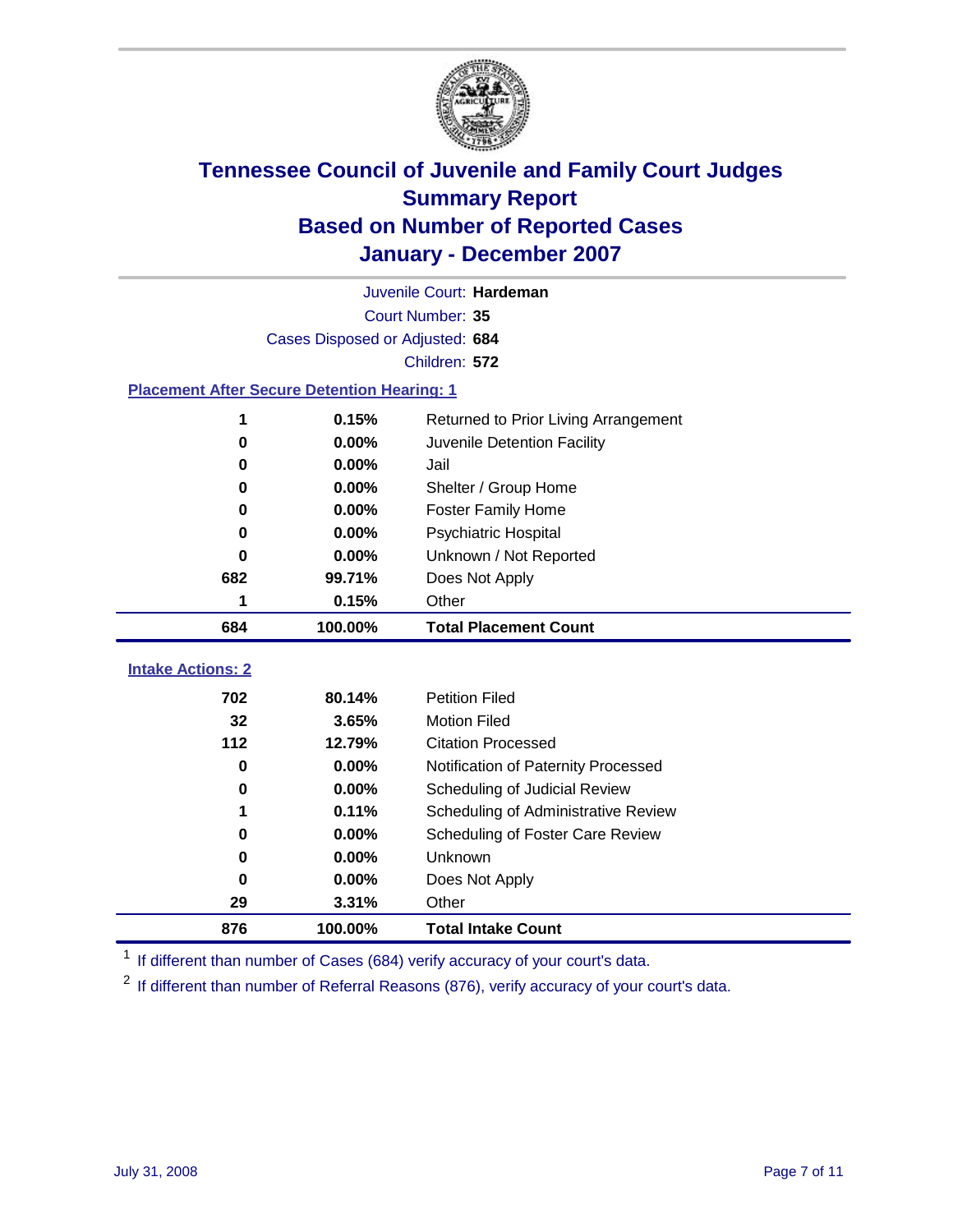

|                                                    | Juvenile Court: Hardeman        |                                      |  |  |  |  |
|----------------------------------------------------|---------------------------------|--------------------------------------|--|--|--|--|
|                                                    | Court Number: 35                |                                      |  |  |  |  |
|                                                    | Cases Disposed or Adjusted: 684 |                                      |  |  |  |  |
|                                                    | Children: 572                   |                                      |  |  |  |  |
| <b>Placement After Secure Detention Hearing: 1</b> |                                 |                                      |  |  |  |  |
| 1                                                  | 0.15%                           | Returned to Prior Living Arrangement |  |  |  |  |
| $\bf{0}$                                           | 0.00%                           | Juvenile Detention Facility          |  |  |  |  |
| 0                                                  | 0.00%                           | Jail                                 |  |  |  |  |
| 0                                                  | $0.00\%$                        | Shelter / Group Home                 |  |  |  |  |
| 0                                                  | 0.00%                           | <b>Foster Family Home</b>            |  |  |  |  |
| 0                                                  | 0.00%                           | Psychiatric Hospital                 |  |  |  |  |
| 0                                                  | 0.00%                           | Unknown / Not Reported               |  |  |  |  |
| 682                                                | 99.71%                          | Does Not Apply                       |  |  |  |  |
| 1                                                  | 0.15%                           | Other                                |  |  |  |  |
| 684                                                | 100.00%                         | <b>Total Placement Count</b>         |  |  |  |  |
|                                                    |                                 |                                      |  |  |  |  |
| <b>Intake Actions: 2</b>                           |                                 |                                      |  |  |  |  |
| 702                                                | 80.14%                          | <b>Petition Filed</b>                |  |  |  |  |
| 32                                                 | 3.65%                           | <b>Motion Filed</b>                  |  |  |  |  |
| 112                                                | 12.79%                          | <b>Citation Processed</b>            |  |  |  |  |
| 0                                                  | 0.00%                           | Notification of Paternity Processed  |  |  |  |  |
| 0                                                  | 0.00%                           | Scheduling of Judicial Review        |  |  |  |  |
| 1                                                  | 0.11%                           | Scheduling of Administrative Review  |  |  |  |  |
| 0                                                  | $0.00\%$                        | Scheduling of Foster Care Review     |  |  |  |  |
| 0                                                  | 0.00%                           | Unknown                              |  |  |  |  |
| 0                                                  | 0.00%                           | Does Not Apply                       |  |  |  |  |
| 29                                                 | 3.31%                           | Other                                |  |  |  |  |
| 876                                                | 100.00%                         | <b>Total Intake Count</b>            |  |  |  |  |

<sup>1</sup> If different than number of Cases (684) verify accuracy of your court's data.

<sup>2</sup> If different than number of Referral Reasons (876), verify accuracy of your court's data.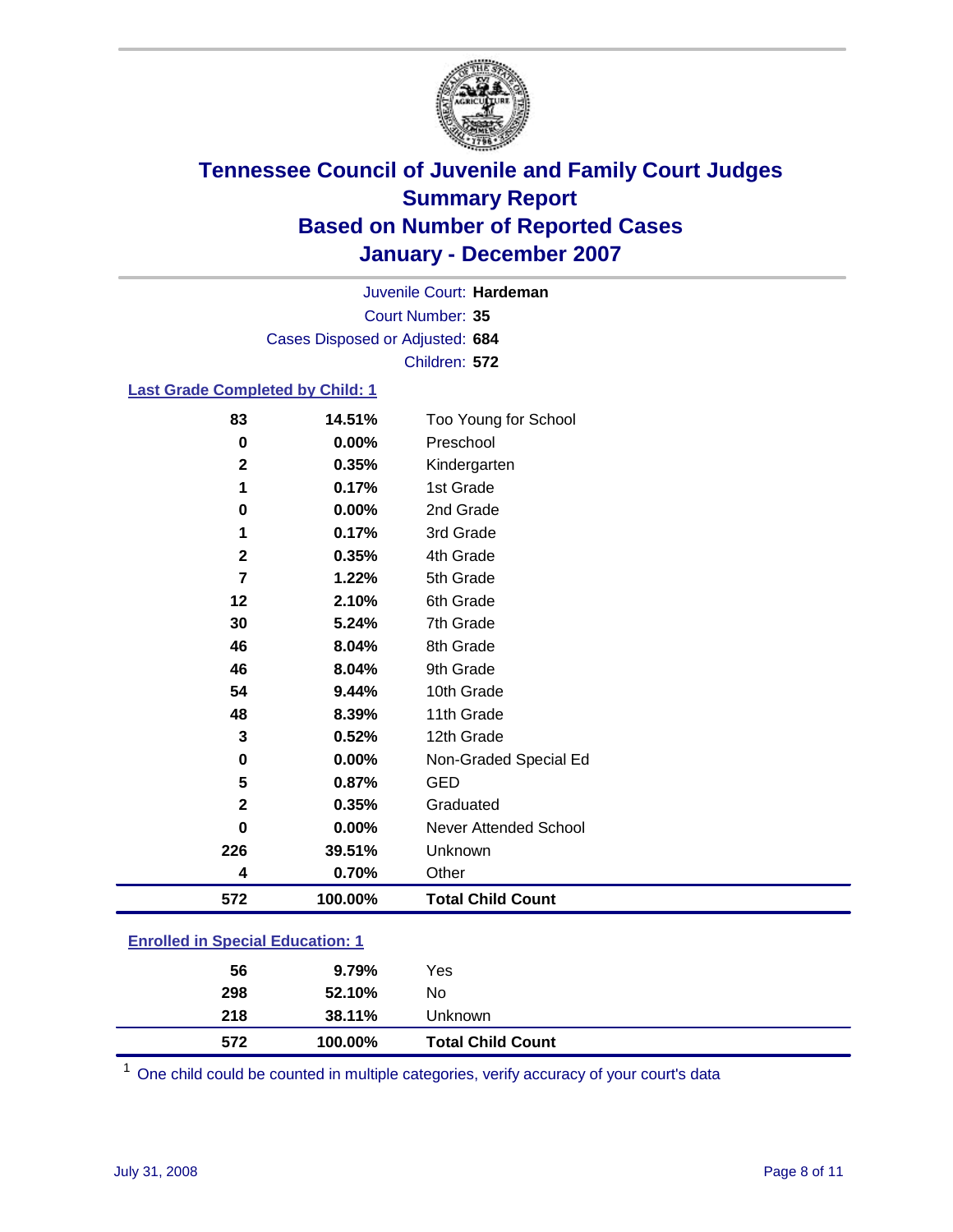

Court Number: **35** Juvenile Court: **Hardeman** Cases Disposed or Adjusted: **684** Children: **572**

### **Last Grade Completed by Child: 1**

| 572            | 100.00% | <b>Total Child Count</b> |
|----------------|---------|--------------------------|
| 4              | 0.70%   | Other                    |
| 226            | 39.51%  | Unknown                  |
| $\bf{0}$       | 0.00%   | Never Attended School    |
| $\mathbf{2}$   | 0.35%   | Graduated                |
| 5              | 0.87%   | <b>GED</b>               |
| 0              | 0.00%   | Non-Graded Special Ed    |
| 3              | 0.52%   | 12th Grade               |
| 48             | 8.39%   | 11th Grade               |
| 54             | 9.44%   | 10th Grade               |
| 46             | 8.04%   | 9th Grade                |
| 46             | 8.04%   | 8th Grade                |
| 30             | 5.24%   | 7th Grade                |
| 12             | 2.10%   | 6th Grade                |
| $\overline{7}$ | 1.22%   | 5th Grade                |
| $\mathbf{2}$   | 0.35%   | 4th Grade                |
| 1              | 0.17%   | 3rd Grade                |
| 0              | 0.00%   | 2nd Grade                |
| 1              | 0.17%   | 1st Grade                |
| $\mathbf{2}$   | 0.35%   | Kindergarten             |
| 0              | 0.00%   | Preschool                |
| 83             | 14.51%  | Too Young for School     |

### **Enrolled in Special Education: 1**

| 572 | 100.00% | <b>Total Child Count</b> |  |
|-----|---------|--------------------------|--|
| 218 | 38.11%  | Unknown                  |  |
| 298 | 52.10%  | No                       |  |
| 56  | 9.79%   | Yes                      |  |
|     |         |                          |  |

<sup>1</sup> One child could be counted in multiple categories, verify accuracy of your court's data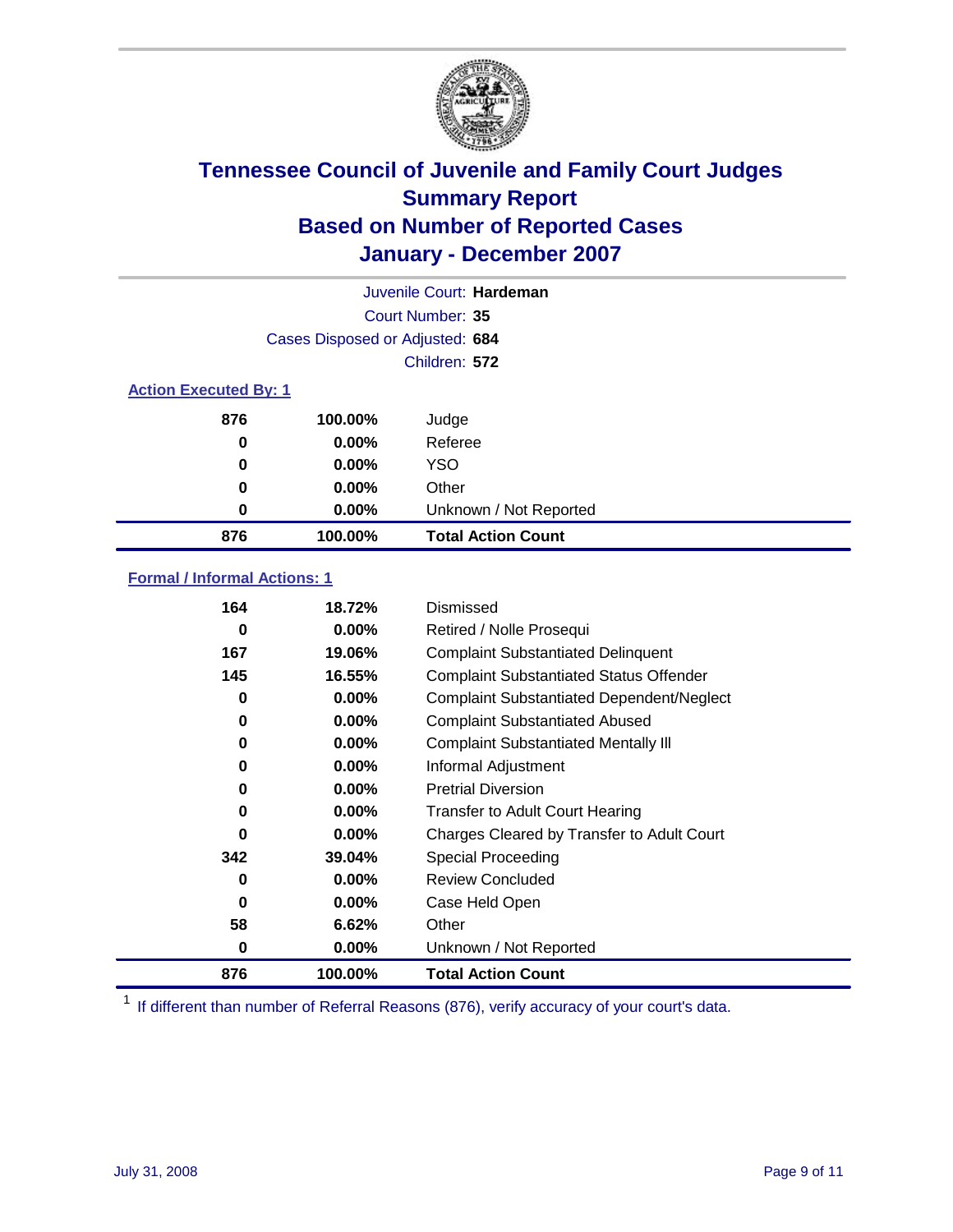

| Juvenile Court: Hardeman     |                                 |                           |  |  |
|------------------------------|---------------------------------|---------------------------|--|--|
|                              | Court Number: 35                |                           |  |  |
|                              | Cases Disposed or Adjusted: 684 |                           |  |  |
|                              |                                 | Children: 572             |  |  |
| <b>Action Executed By: 1</b> |                                 |                           |  |  |
| 876                          | 100.00%                         | Judge                     |  |  |
| 0                            | $0.00\%$                        | Referee                   |  |  |
| 0                            | $0.00\%$                        | <b>YSO</b>                |  |  |
| 0                            | $0.00\%$                        | Other                     |  |  |
| 0                            | 0.00%                           | Unknown / Not Reported    |  |  |
| 876                          | 100.00%                         | <b>Total Action Count</b> |  |  |

### **Formal / Informal Actions: 1**

| 164 | 18.72%   | Dismissed                                        |
|-----|----------|--------------------------------------------------|
| 0   | $0.00\%$ | Retired / Nolle Prosequi                         |
| 167 | 19.06%   | <b>Complaint Substantiated Delinquent</b>        |
| 145 | 16.55%   | <b>Complaint Substantiated Status Offender</b>   |
| 0   | $0.00\%$ | <b>Complaint Substantiated Dependent/Neglect</b> |
| 0   | $0.00\%$ | <b>Complaint Substantiated Abused</b>            |
| 0   | $0.00\%$ | <b>Complaint Substantiated Mentally III</b>      |
| 0   | $0.00\%$ | Informal Adjustment                              |
| 0   | $0.00\%$ | <b>Pretrial Diversion</b>                        |
| 0   | $0.00\%$ | <b>Transfer to Adult Court Hearing</b>           |
| 0   | $0.00\%$ | Charges Cleared by Transfer to Adult Court       |
| 342 | 39.04%   | Special Proceeding                               |
| 0   | $0.00\%$ | <b>Review Concluded</b>                          |
| 0   | $0.00\%$ | Case Held Open                                   |
| 58  | 6.62%    | Other                                            |
| 0   | $0.00\%$ | Unknown / Not Reported                           |
| 876 | 100.00%  | <b>Total Action Count</b>                        |

<sup>1</sup> If different than number of Referral Reasons (876), verify accuracy of your court's data.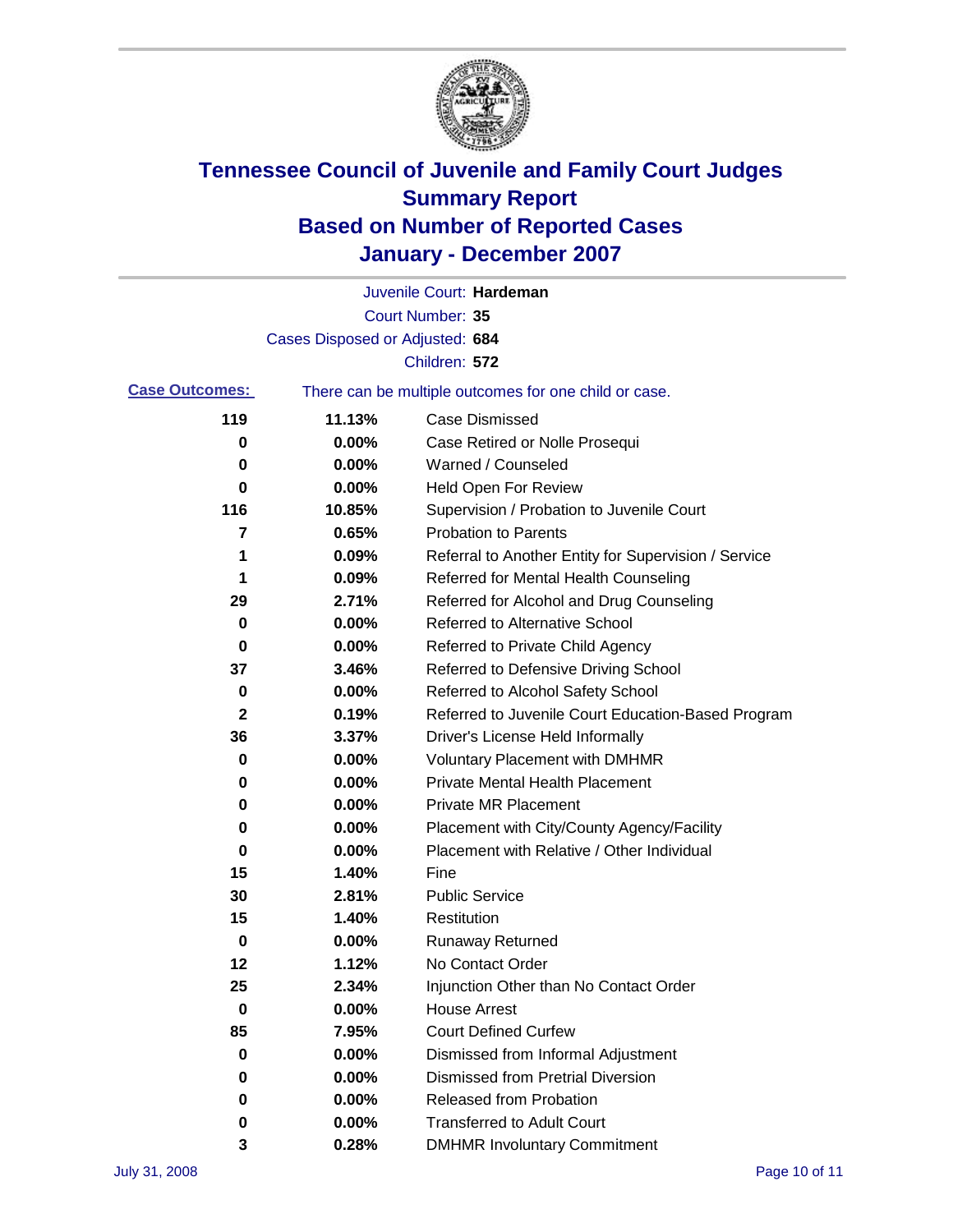

|                       |                                 | Juvenile Court: Hardeman                              |
|-----------------------|---------------------------------|-------------------------------------------------------|
|                       |                                 | Court Number: 35                                      |
|                       | Cases Disposed or Adjusted: 684 |                                                       |
|                       |                                 | Children: 572                                         |
| <b>Case Outcomes:</b> |                                 | There can be multiple outcomes for one child or case. |
| 119                   | 11.13%                          | <b>Case Dismissed</b>                                 |
| 0                     | 0.00%                           | Case Retired or Nolle Prosequi                        |
| 0                     | 0.00%                           | Warned / Counseled                                    |
| 0                     | 0.00%                           | Held Open For Review                                  |
| 116                   | 10.85%                          | Supervision / Probation to Juvenile Court             |
| 7                     | 0.65%                           | <b>Probation to Parents</b>                           |
| 1                     | 0.09%                           | Referral to Another Entity for Supervision / Service  |
| 1                     | 0.09%                           | Referred for Mental Health Counseling                 |
| 29                    | 2.71%                           | Referred for Alcohol and Drug Counseling              |
| 0                     | 0.00%                           | <b>Referred to Alternative School</b>                 |
| 0                     | 0.00%                           | Referred to Private Child Agency                      |
| 37                    | 3.46%                           | Referred to Defensive Driving School                  |
| 0                     | 0.00%                           | Referred to Alcohol Safety School                     |
| 2                     | 0.19%                           | Referred to Juvenile Court Education-Based Program    |
| 36                    | 3.37%                           | Driver's License Held Informally                      |
| 0                     | 0.00%                           | <b>Voluntary Placement with DMHMR</b>                 |
| 0                     | 0.00%                           | <b>Private Mental Health Placement</b>                |
| 0                     | 0.00%                           | <b>Private MR Placement</b>                           |
| 0                     | 0.00%                           | Placement with City/County Agency/Facility            |
| 0                     | 0.00%                           | Placement with Relative / Other Individual            |
| 15                    | 1.40%                           | Fine                                                  |
| 30                    | 2.81%                           | <b>Public Service</b>                                 |
| 15                    | 1.40%                           | Restitution                                           |
| 0                     | 0.00%                           | <b>Runaway Returned</b>                               |
| 12                    | 1.12%                           | No Contact Order                                      |
| 25                    | 2.34%                           | Injunction Other than No Contact Order                |
| 0                     | 0.00%                           | <b>House Arrest</b>                                   |
| 85                    | 7.95%                           | <b>Court Defined Curfew</b>                           |
| 0                     | 0.00%                           | Dismissed from Informal Adjustment                    |
| 0                     | 0.00%                           | <b>Dismissed from Pretrial Diversion</b>              |
| 0                     | 0.00%                           | Released from Probation                               |
| 0                     | 0.00%                           | <b>Transferred to Adult Court</b>                     |
| 3                     | 0.28%                           | <b>DMHMR Involuntary Commitment</b>                   |